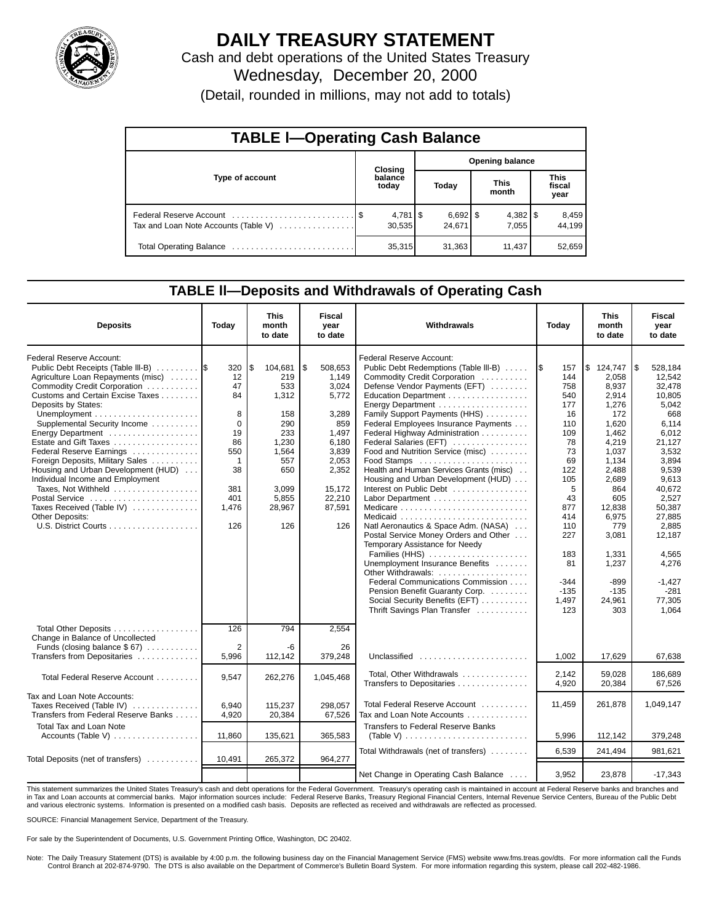

# **DAILY TREASURY STATEMENT**

Cash and debt operations of the United States Treasury Wednesday, December 20, 2000

(Detail, rounded in millions, may not add to totals)

| <b>TABLE I-Operating Cash Balance</b> |  |                                 |  |                        |                      |        |                               |                 |  |
|---------------------------------------|--|---------------------------------|--|------------------------|----------------------|--------|-------------------------------|-----------------|--|
|                                       |  | Closing                         |  | <b>Opening balance</b> |                      |        |                               |                 |  |
| Type of account                       |  | balance<br>today                |  | Today                  | <b>This</b><br>month |        | <b>This</b><br>fiscal<br>year |                 |  |
| Tax and Loan Note Accounts (Table V)  |  | $4,781$ $\frac{1}{3}$<br>30.535 |  | $6,692$ \$<br>24.671   |                      | 7.055  |                               | 8,459<br>44.199 |  |
|                                       |  | 35,315                          |  | 31,363                 |                      | 11,437 |                               | 52,659          |  |

#### **TABLE ll—Deposits and Withdrawals of Operating Cash**

| <b>Deposits</b>                                                                                                                                                                                                                                                                                                                                                                                                                                                                                                          | Today                                                                                                  | <b>This</b><br>month<br>to date                                                                                              | <b>Fiscal</b><br>year<br>to date                                                                                                           | Withdrawals                                                                                                                                                                                                                                                                                                                                                                                                                                                                                                                                                                                                                                                                                                                                                                    | Today                                                                                                                                                              | <b>This</b><br>month<br>to date                                                                                                                                                                                    | Fiscal<br>year<br>to date                                                                                                                                                                                                              |
|--------------------------------------------------------------------------------------------------------------------------------------------------------------------------------------------------------------------------------------------------------------------------------------------------------------------------------------------------------------------------------------------------------------------------------------------------------------------------------------------------------------------------|--------------------------------------------------------------------------------------------------------|------------------------------------------------------------------------------------------------------------------------------|--------------------------------------------------------------------------------------------------------------------------------------------|--------------------------------------------------------------------------------------------------------------------------------------------------------------------------------------------------------------------------------------------------------------------------------------------------------------------------------------------------------------------------------------------------------------------------------------------------------------------------------------------------------------------------------------------------------------------------------------------------------------------------------------------------------------------------------------------------------------------------------------------------------------------------------|--------------------------------------------------------------------------------------------------------------------------------------------------------------------|--------------------------------------------------------------------------------------------------------------------------------------------------------------------------------------------------------------------|----------------------------------------------------------------------------------------------------------------------------------------------------------------------------------------------------------------------------------------|
| <b>Federal Reserve Account:</b><br>Public Debt Receipts (Table III-B)<br>Agriculture Loan Repayments (misc)<br>Commodity Credit Corporation<br>Customs and Certain Excise Taxes<br>Deposits by States:<br>Supplemental Security Income<br>Energy Department<br>Estate and Gift Taxes<br>Federal Reserve Earnings<br>Foreign Deposits, Military Sales<br>Housing and Urban Development (HUD)<br>Individual Income and Employment<br>Taxes, Not Withheld<br>Postal Service<br>Taxes Received (Table IV)<br>Other Deposits: | 320<br>12<br>47<br>84<br>8<br>0<br>19<br>86<br>550<br>$\mathbf{1}$<br>38<br>381<br>401<br>1,476<br>126 | \$<br>104,681<br>219<br>533<br>1,312<br>158<br>290<br>233<br>1,230<br>1,564<br>557<br>650<br>3,099<br>5,855<br>28,967<br>126 | \$<br>508,653<br>1,149<br>3,024<br>5,772<br>3,289<br>859<br>1,497<br>6,180<br>3,839<br>2,053<br>2,352<br>15,172<br>22,210<br>87,591<br>126 | <b>Federal Reserve Account:</b><br>Public Debt Redemptions (Table III-B)<br>Commodity Credit Corporation<br>Defense Vendor Payments (EFT)<br>Education Department<br>Family Support Payments (HHS)<br>Federal Employees Insurance Payments<br>Federal Highway Administration<br>Federal Salaries (EFT)<br>Food and Nutrition Service (misc)<br>Food Stamps<br>Health and Human Services Grants (misc)<br>Housing and Urban Development (HUD)<br>Interest on Public Debt<br>Natl Aeronautics & Space Adm. (NASA)<br>Postal Service Money Orders and Other<br>Temporary Assistance for Needy<br>Families (HHS)<br>Unemployment Insurance Benefits<br>Other Withdrawals:<br>Federal Communications Commission<br>Pension Benefit Guaranty Corp.<br>Social Security Benefits (EFT) | 157<br>144<br>758<br>540<br>177<br>16<br>110<br>109<br>78<br>73<br>69<br>122<br>105<br>5<br>43<br>877<br>414<br>110<br>227<br>183<br>81<br>-344<br>$-135$<br>1,497 | \$124,747<br>2.058<br>8,937<br>2,914<br>1,276<br>172<br>1,620<br>1,462<br>4,219<br>1,037<br>1,134<br>2,488<br>2,689<br>864<br>605<br>12.838<br>6,975<br>779<br>3,081<br>1,331<br>1,237<br>-899<br>$-135$<br>24,961 | l\$<br>528,184<br>12.542<br>32,478<br>10.805<br>5,042<br>668<br>6,114<br>6,012<br>21,127<br>3,532<br>3.894<br>9,539<br>9,613<br>40,672<br>2,527<br>50,387<br>27.885<br>2,885<br>12,187<br>4,565<br>4,276<br>-1,427<br>$-281$<br>77,305 |
| Total Other Deposits<br>Change in Balance of Uncollected                                                                                                                                                                                                                                                                                                                                                                                                                                                                 | 126                                                                                                    | 794                                                                                                                          | 2.554                                                                                                                                      | Thrift Savings Plan Transfer                                                                                                                                                                                                                                                                                                                                                                                                                                                                                                                                                                                                                                                                                                                                                   | 123                                                                                                                                                                | 303                                                                                                                                                                                                                | 1.064                                                                                                                                                                                                                                  |
| Funds (closing balance \$67)<br>Transfers from Depositaries                                                                                                                                                                                                                                                                                                                                                                                                                                                              | $\overline{2}$<br>5,996                                                                                | -6<br>112,142                                                                                                                | 26<br>379,248                                                                                                                              | Unclassified                                                                                                                                                                                                                                                                                                                                                                                                                                                                                                                                                                                                                                                                                                                                                                   | 1,002                                                                                                                                                              | 17,629                                                                                                                                                                                                             | 67,638                                                                                                                                                                                                                                 |
| Total Federal Reserve Account                                                                                                                                                                                                                                                                                                                                                                                                                                                                                            | 9,547                                                                                                  | 262,276                                                                                                                      | 1,045,468                                                                                                                                  | Total, Other Withdrawals<br>Transfers to Depositaries                                                                                                                                                                                                                                                                                                                                                                                                                                                                                                                                                                                                                                                                                                                          | 2,142<br>4,920                                                                                                                                                     | 59,028<br>20,384                                                                                                                                                                                                   | 186,689<br>67,526                                                                                                                                                                                                                      |
| Tax and Loan Note Accounts:<br>Taxes Received (Table IV)<br>Transfers from Federal Reserve Banks                                                                                                                                                                                                                                                                                                                                                                                                                         | 6.940<br>4,920                                                                                         | 115.237<br>20,384                                                                                                            | 298.057<br>67,526                                                                                                                          | Total Federal Reserve Account<br>Tax and Loan Note Accounts                                                                                                                                                                                                                                                                                                                                                                                                                                                                                                                                                                                                                                                                                                                    | 11,459                                                                                                                                                             | 261,878                                                                                                                                                                                                            | 1,049,147                                                                                                                                                                                                                              |
| Total Tax and Loan Note<br>Accounts (Table V) $\ldots$                                                                                                                                                                                                                                                                                                                                                                                                                                                                   | 11,860                                                                                                 | 135,621                                                                                                                      | 365,583                                                                                                                                    | <b>Transfers to Federal Reserve Banks</b>                                                                                                                                                                                                                                                                                                                                                                                                                                                                                                                                                                                                                                                                                                                                      | 5,996                                                                                                                                                              | 112,142                                                                                                                                                                                                            | 379,248                                                                                                                                                                                                                                |
|                                                                                                                                                                                                                                                                                                                                                                                                                                                                                                                          |                                                                                                        |                                                                                                                              |                                                                                                                                            | Total Withdrawals (net of transfers)                                                                                                                                                                                                                                                                                                                                                                                                                                                                                                                                                                                                                                                                                                                                           | 6,539                                                                                                                                                              | 241,494                                                                                                                                                                                                            | 981,621                                                                                                                                                                                                                                |
| Total Deposits (net of transfers)                                                                                                                                                                                                                                                                                                                                                                                                                                                                                        | 10,491                                                                                                 | 265,372                                                                                                                      | 964,277                                                                                                                                    | Net Change in Operating Cash Balance                                                                                                                                                                                                                                                                                                                                                                                                                                                                                                                                                                                                                                                                                                                                           | 3.952                                                                                                                                                              | 23,878                                                                                                                                                                                                             | $-17,343$                                                                                                                                                                                                                              |

This statement summarizes the United States Treasury's cash and debt operations for the Federal Government. Treasury's operating cash is maintained in account at Federal Reserve banks and branches and<br>in Tax and Loan accou and various electronic systems. Information is presented on a modified cash basis. Deposits are reflected as received and withdrawals are reflected as processed.

SOURCE: Financial Management Service, Department of the Treasury.

For sale by the Superintendent of Documents, U.S. Government Printing Office, Washington, DC 20402.

Note: The Daily Treasury Statement (DTS) is available by 4:00 p.m. the following business day on the Financial Management Service (FMS) website www.fms.treas.gov/dts. For more information call the Funds Control Branch at 202-874-9790. The DTS is also available on the Department of Commerce's Bulletin Board System. For more information regarding this system, please call 202-482-1986.